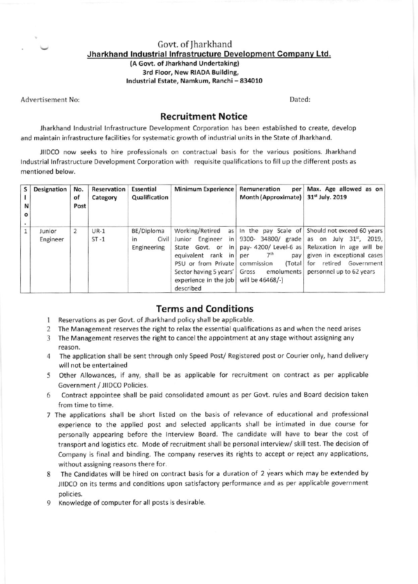Govt. of Iharkhand Jharkhand Industrial Infrastructure Development Company Ltd.

> (A Govt. of Jharkhand Undertaking) 3rd Floor, New RIADA Building, Industrial Estate, Namkum, Ranchi - 834010

Advertisement No

Dated;

## Recruitment Notice

.iharkhand lndustrial lnfrastructure oevelopment Corporation has been established to create, develop and maintain infrastructure facilities for systematic growth of industrial units in the State of Jharkhand.

JIIDCO now seeks to hire professionals on contractual basis for the various positions. Jharkhand Industrial Infrastructure Development Corporation with requisite qualifications to fill up the different posts as mentioned below.

| S<br>N<br>O | Designation        | No.<br>of<br>Post | Reservation<br>Category | Essential<br>Qualification                 | <b>Minimum Experience</b>                                                                                                                                                                          | Remuneration<br>per<br>Month (Approximate)                                  | Max. Age allowed as on<br>31 <sup>st</sup> July. 2019                                                                                                                                                                                                 |
|-------------|--------------------|-------------------|-------------------------|--------------------------------------------|----------------------------------------------------------------------------------------------------------------------------------------------------------------------------------------------------|-----------------------------------------------------------------------------|-------------------------------------------------------------------------------------------------------------------------------------------------------------------------------------------------------------------------------------------------------|
|             | Junior<br>Engineer | 2                 | $UR-1$<br>$ST - 1$      | BE/Diploma<br>Civil  <br>in<br>Engineering | Working/Retired<br>as <sub>1</sub><br>Junior Engineer<br>in<br>in<br>State Govt, or<br>equivalent rank in<br>PSU or from Private<br>Sector having 5 years'<br>experience in the $job$<br>described | 7 <sup>th</sup><br>per<br>commission<br>(Total<br>Gross<br>will be 46468/-) | In the pay Scale of Should not exceed 60 years<br>9300- 34800/ grade as on July $31^{st}$ , 2019,<br>pay-4200/Level-6 as Relaxation in age will be<br>pay given in exceptional cases<br>for retired Government<br>emoluments personnel up to 62 years |

## Terms and Conditions

- 1 Reservations as per Govt. of Jharkhand policy shall be applicable.
- 2 The Management reserves the right to relax the essential qualifications as and when the need arises
- 3 The Management reserves the right to cancel the appointment at any stage without assigning any reason.
- 4 The application shall be sent through only Speed Post/ Registered post or Courier only, hand delivery will not be entertained
- 5 Olher Allowances, if any, shall be as applicable for recruitment on contract as per applicable Government / JIIDCO Policies.
- 6 Contract appointee shall be paid consolidated amount as per Govt. rules and Board decision taken from time to time,
- 7 The applications shall be short listed on the basis of relevance of educational and professional experience to the applied post and selected applicants shall be intimated in due course for personally appearing before the lnterview Board. The candidate will have to bear the cost of transport and logistics etc. Mode of recruitment shall be personal interview/ skill test. The decision of Company is final and binding. The company reserves its rights to accept or reject any applications, without assigning reasons there for.
- 8 The Candidates will be hired on contract basis for a duration of 2 years which may be extended by JIIDCO on its terms and conditions upon satisfactory performance and as per applicable government policies.
- 9 Knowledge of computer for all posts is desirable.